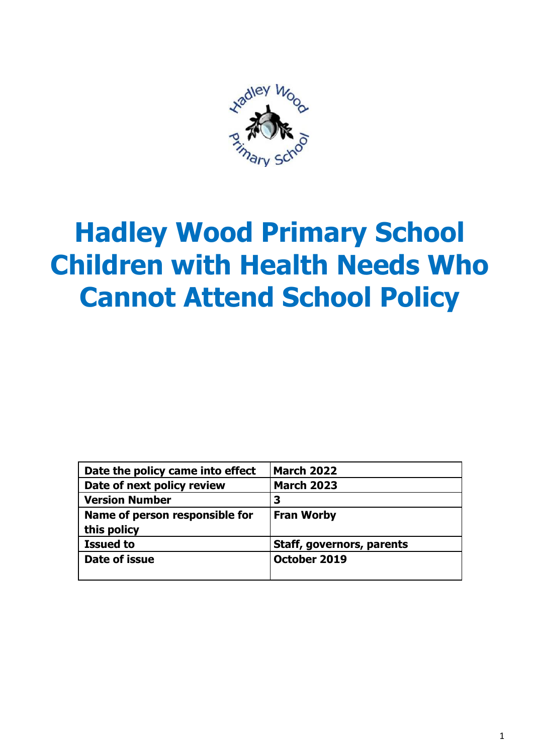

# **Hadley Wood Primary School Children with Health Needs Who Cannot Attend School Policy**

| Date the policy came into effect | <b>March 2022</b>                |
|----------------------------------|----------------------------------|
| Date of next policy review       | <b>March 2023</b>                |
| <b>Version Number</b>            | 3                                |
| Name of person responsible for   | <b>Fran Worby</b>                |
| this policy                      |                                  |
| <b>Issued to</b>                 | <b>Staff, governors, parents</b> |
| Date of issue                    | October 2019                     |
|                                  |                                  |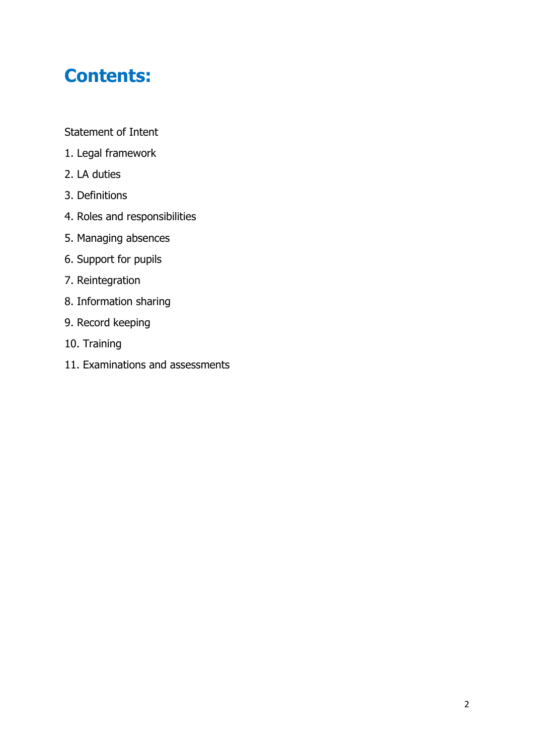# **Contents:**

Statement of Intent

- 1. Legal framework
- 2. LA duties
- 3. Definitions
- 4. Roles and responsibilities
- 5. Managing absences
- 6. Support for pupils
- 7. Reintegration
- 8. Information sharing
- 9. Record keeping
- 10. Training
- 11. Examinations and assessments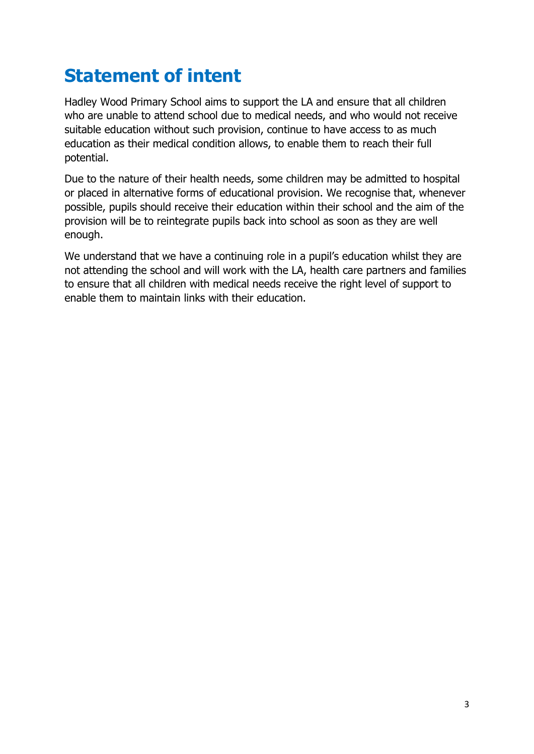### **Statement of intent**

Hadley Wood Primary School aims to support the LA and ensure that all children who are unable to attend school due to medical needs, and who would not receive suitable education without such provision, continue to have access to as much education as their medical condition allows, to enable them to reach their full potential.

Due to the nature of their health needs, some children may be admitted to hospital or placed in alternative forms of educational provision. We recognise that, whenever possible, pupils should receive their education within their school and the aim of the provision will be to reintegrate pupils back into school as soon as they are well enough.

We understand that we have a continuing role in a pupil's education whilst they are not attending the school and will work with the LA, health care partners and families to ensure that all children with medical needs receive the right level of support to enable them to maintain links with their education.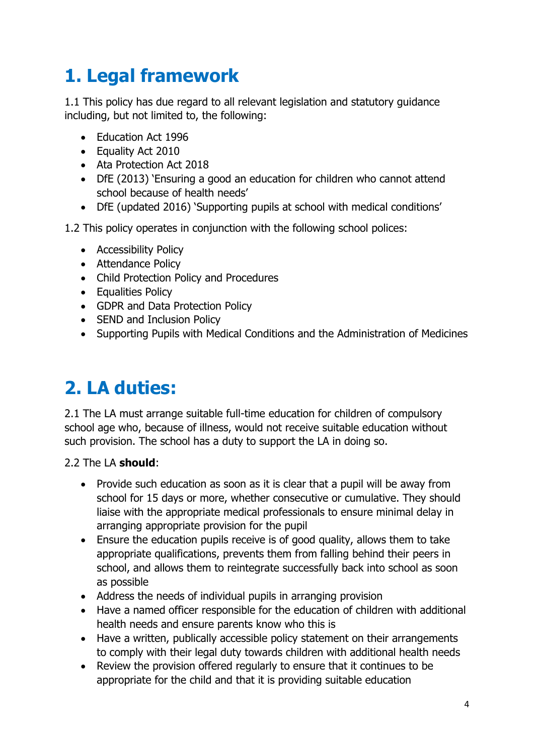# **1. Legal framework**

1.1 This policy has due regard to all relevant legislation and statutory guidance including, but not limited to, the following:

- Education Act 1996
- Equality Act 2010
- Ata Protection Act 2018
- DfE (2013) 'Ensuring a good an education for children who cannot attend school because of health needs'
- DfE (updated 2016) 'Supporting pupils at school with medical conditions'

1.2 This policy operates in conjunction with the following school polices:

- Accessibility Policy
- Attendance Policy
- Child Protection Policy and Procedures
- Equalities Policy
- GDPR and Data Protection Policy
- SEND and Inclusion Policy
- Supporting Pupils with Medical Conditions and the Administration of Medicines

# **2. LA duties:**

2.1 The LA must arrange suitable full-time education for children of compulsory school age who, because of illness, would not receive suitable education without such provision. The school has a duty to support the LA in doing so.

#### 2.2 The LA **should**:

- Provide such education as soon as it is clear that a pupil will be away from school for 15 days or more, whether consecutive or cumulative. They should liaise with the appropriate medical professionals to ensure minimal delay in arranging appropriate provision for the pupil
- Ensure the education pupils receive is of good quality, allows them to take appropriate qualifications, prevents them from falling behind their peers in school, and allows them to reintegrate successfully back into school as soon as possible
- Address the needs of individual pupils in arranging provision
- Have a named officer responsible for the education of children with additional health needs and ensure parents know who this is
- Have a written, publically accessible policy statement on their arrangements to comply with their legal duty towards children with additional health needs
- Review the provision offered regularly to ensure that it continues to be appropriate for the child and that it is providing suitable education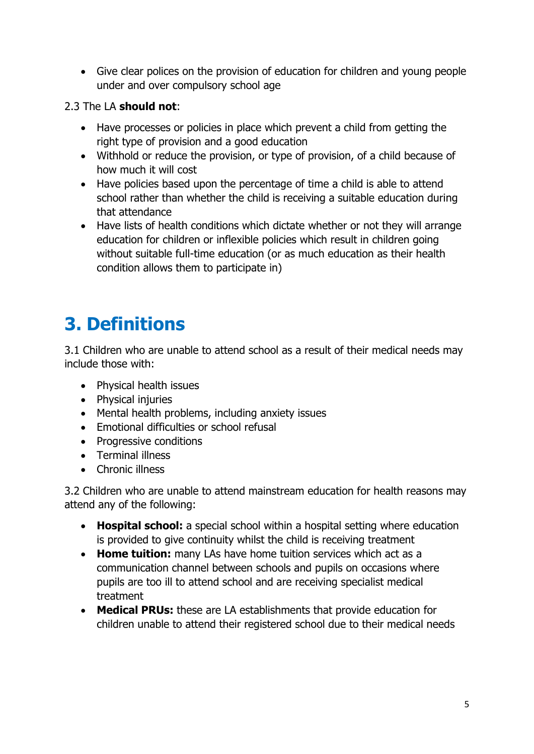Give clear polices on the provision of education for children and young people under and over compulsory school age

#### 2.3 The LA **should not**:

- Have processes or policies in place which prevent a child from getting the right type of provision and a good education
- Withhold or reduce the provision, or type of provision, of a child because of how much it will cost
- Have policies based upon the percentage of time a child is able to attend school rather than whether the child is receiving a suitable education during that attendance
- Have lists of health conditions which dictate whether or not they will arrange education for children or inflexible policies which result in children going without suitable full-time education (or as much education as their health condition allows them to participate in)

# **3. Definitions**

3.1 Children who are unable to attend school as a result of their medical needs may include those with:

- Physical health issues
- Physical injuries
- Mental health problems, including anxiety issues
- Emotional difficulties or school refusal
- Progressive conditions
- Terminal illness
- Chronic illness

3.2 Children who are unable to attend mainstream education for health reasons may attend any of the following:

- **Hospital school:** a special school within a hospital setting where education is provided to give continuity whilst the child is receiving treatment
- **Home tuition:** many LAs have home tuition services which act as a communication channel between schools and pupils on occasions where pupils are too ill to attend school and are receiving specialist medical treatment
- **Medical PRUs:** these are LA establishments that provide education for children unable to attend their registered school due to their medical needs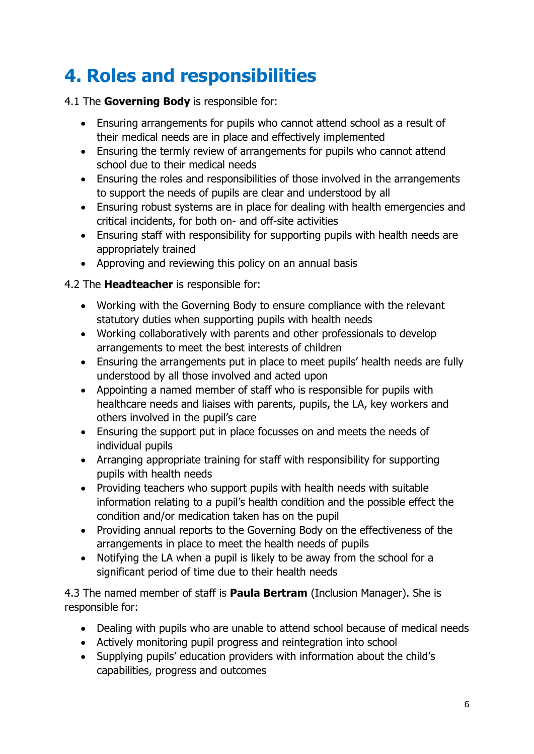# **4. Roles and responsibilities**

#### 4.1 The **Governing Body** is responsible for:

- Ensuring arrangements for pupils who cannot attend school as a result of their medical needs are in place and effectively implemented
- Ensuring the termly review of arrangements for pupils who cannot attend school due to their medical needs
- Ensuring the roles and responsibilities of those involved in the arrangements to support the needs of pupils are clear and understood by all
- Ensuring robust systems are in place for dealing with health emergencies and critical incidents, for both on- and off-site activities
- Ensuring staff with responsibility for supporting pupils with health needs are appropriately trained
- Approving and reviewing this policy on an annual basis

#### 4.2 The **Headteacher** is responsible for:

- Working with the Governing Body to ensure compliance with the relevant statutory duties when supporting pupils with health needs
- Working collaboratively with parents and other professionals to develop arrangements to meet the best interests of children
- Ensuring the arrangements put in place to meet pupils' health needs are fully understood by all those involved and acted upon
- Appointing a named member of staff who is responsible for pupils with healthcare needs and liaises with parents, pupils, the LA, key workers and others involved in the pupil's care
- Ensuring the support put in place focusses on and meets the needs of individual pupils
- Arranging appropriate training for staff with responsibility for supporting pupils with health needs
- Providing teachers who support pupils with health needs with suitable information relating to a pupil's health condition and the possible effect the condition and/or medication taken has on the pupil
- Providing annual reports to the Governing Body on the effectiveness of the arrangements in place to meet the health needs of pupils
- Notifying the LA when a pupil is likely to be away from the school for a significant period of time due to their health needs

4.3 The named member of staff is **Paula Bertram** (Inclusion Manager). She is responsible for:

- Dealing with pupils who are unable to attend school because of medical needs
- Actively monitoring pupil progress and reintegration into school
- Supplying pupils' education providers with information about the child's capabilities, progress and outcomes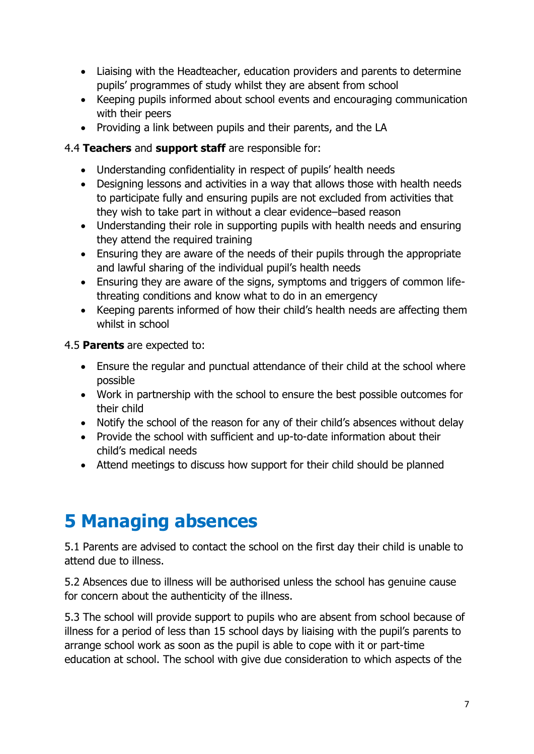- Liaising with the Headteacher, education providers and parents to determine pupils' programmes of study whilst they are absent from school
- Keeping pupils informed about school events and encouraging communication with their peers
- Providing a link between pupils and their parents, and the LA

#### 4.4 **Teachers** and **support staff** are responsible for:

- Understanding confidentiality in respect of pupils' health needs
- Designing lessons and activities in a way that allows those with health needs to participate fully and ensuring pupils are not excluded from activities that they wish to take part in without a clear evidence–based reason
- Understanding their role in supporting pupils with health needs and ensuring they attend the required training
- Ensuring they are aware of the needs of their pupils through the appropriate and lawful sharing of the individual pupil's health needs
- Ensuring they are aware of the signs, symptoms and triggers of common lifethreating conditions and know what to do in an emergency
- Keeping parents informed of how their child's health needs are affecting them whilst in school

#### 4.5 **Parents** are expected to:

- Ensure the regular and punctual attendance of their child at the school where possible
- Work in partnership with the school to ensure the best possible outcomes for their child
- Notify the school of the reason for any of their child's absences without delay
- Provide the school with sufficient and up-to-date information about their child's medical needs
- Attend meetings to discuss how support for their child should be planned

### **5 Managing absences**

5.1 Parents are advised to contact the school on the first day their child is unable to attend due to illness.

5.2 Absences due to illness will be authorised unless the school has genuine cause for concern about the authenticity of the illness.

5.3 The school will provide support to pupils who are absent from school because of illness for a period of less than 15 school days by liaising with the pupil's parents to arrange school work as soon as the pupil is able to cope with it or part-time education at school. The school with give due consideration to which aspects of the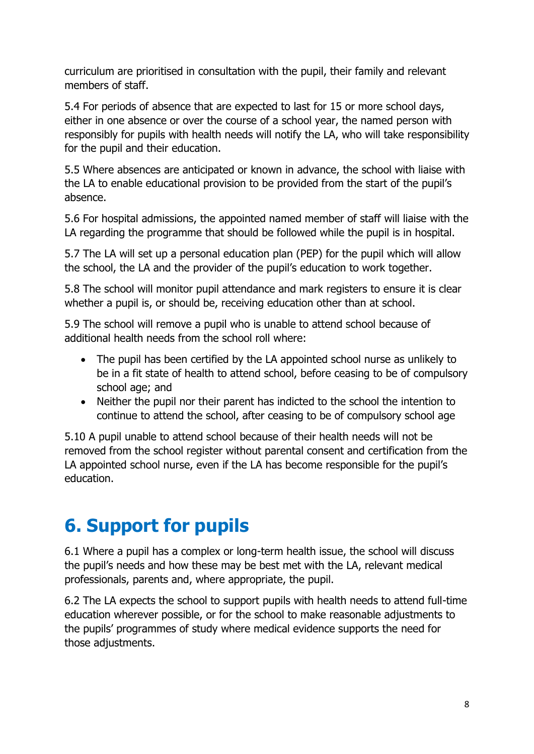curriculum are prioritised in consultation with the pupil, their family and relevant members of staff.

5.4 For periods of absence that are expected to last for 15 or more school days, either in one absence or over the course of a school year, the named person with responsibly for pupils with health needs will notify the LA, who will take responsibility for the pupil and their education.

5.5 Where absences are anticipated or known in advance, the school with liaise with the LA to enable educational provision to be provided from the start of the pupil's absence.

5.6 For hospital admissions, the appointed named member of staff will liaise with the LA regarding the programme that should be followed while the pupil is in hospital.

5.7 The LA will set up a personal education plan (PEP) for the pupil which will allow the school, the LA and the provider of the pupil's education to work together.

5.8 The school will monitor pupil attendance and mark registers to ensure it is clear whether a pupil is, or should be, receiving education other than at school.

5.9 The school will remove a pupil who is unable to attend school because of additional health needs from the school roll where:

- The pupil has been certified by the LA appointed school nurse as unlikely to be in a fit state of health to attend school, before ceasing to be of compulsory school age; and
- Neither the pupil nor their parent has indicted to the school the intention to continue to attend the school, after ceasing to be of compulsory school age

5.10 A pupil unable to attend school because of their health needs will not be removed from the school register without parental consent and certification from the LA appointed school nurse, even if the LA has become responsible for the pupil's education.

### **6. Support for pupils**

6.1 Where a pupil has a complex or long-term health issue, the school will discuss the pupil's needs and how these may be best met with the LA, relevant medical professionals, parents and, where appropriate, the pupil.

6.2 The LA expects the school to support pupils with health needs to attend full-time education wherever possible, or for the school to make reasonable adjustments to the pupils' programmes of study where medical evidence supports the need for those adjustments.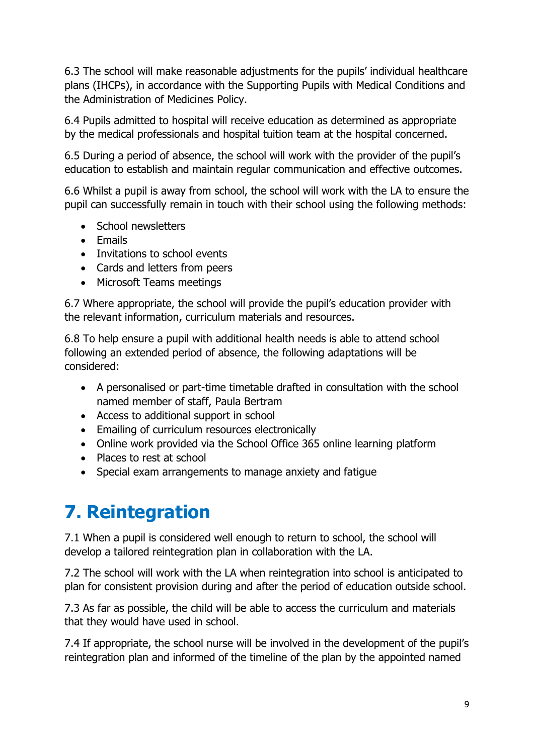6.3 The school will make reasonable adjustments for the pupils' individual healthcare plans (IHCPs), in accordance with the Supporting Pupils with Medical Conditions and the Administration of Medicines Policy.

6.4 Pupils admitted to hospital will receive education as determined as appropriate by the medical professionals and hospital tuition team at the hospital concerned.

6.5 During a period of absence, the school will work with the provider of the pupil's education to establish and maintain regular communication and effective outcomes.

6.6 Whilst a pupil is away from school, the school will work with the LA to ensure the pupil can successfully remain in touch with their school using the following methods:

- School newsletters
- $\bullet$  Fmails
- Invitations to school events
- Cards and letters from peers
- Microsoft Teams meetings

6.7 Where appropriate, the school will provide the pupil's education provider with the relevant information, curriculum materials and resources.

6.8 To help ensure a pupil with additional health needs is able to attend school following an extended period of absence, the following adaptations will be considered:

- A personalised or part-time timetable drafted in consultation with the school named member of staff, Paula Bertram
- Access to additional support in school
- Emailing of curriculum resources electronically
- Online work provided via the School Office 365 online learning platform
- Places to rest at school
- Special exam arrangements to manage anxiety and fatigue

# **7. Reintegration**

7.1 When a pupil is considered well enough to return to school, the school will develop a tailored reintegration plan in collaboration with the LA.

7.2 The school will work with the LA when reintegration into school is anticipated to plan for consistent provision during and after the period of education outside school.

7.3 As far as possible, the child will be able to access the curriculum and materials that they would have used in school.

7.4 If appropriate, the school nurse will be involved in the development of the pupil's reintegration plan and informed of the timeline of the plan by the appointed named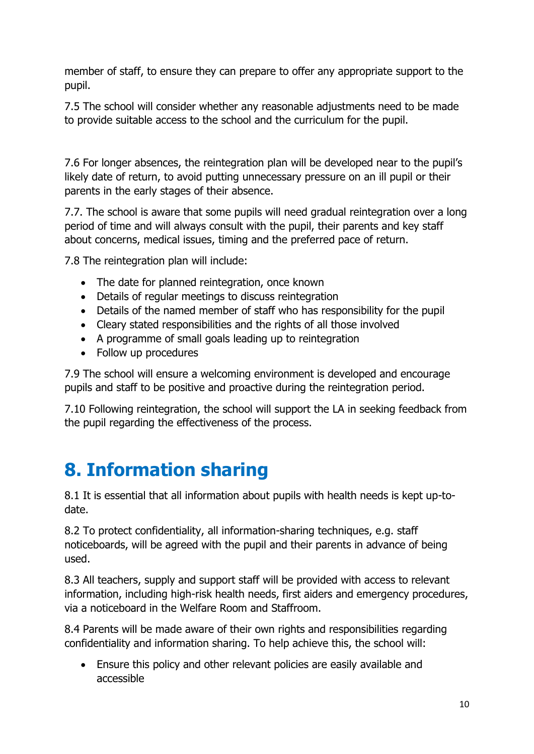member of staff, to ensure they can prepare to offer any appropriate support to the pupil.

7.5 The school will consider whether any reasonable adjustments need to be made to provide suitable access to the school and the curriculum for the pupil.

7.6 For longer absences, the reintegration plan will be developed near to the pupil's likely date of return, to avoid putting unnecessary pressure on an ill pupil or their parents in the early stages of their absence.

7.7. The school is aware that some pupils will need gradual reintegration over a long period of time and will always consult with the pupil, their parents and key staff about concerns, medical issues, timing and the preferred pace of return.

7.8 The reintegration plan will include:

- The date for planned reintegration, once known
- Details of regular meetings to discuss reintegration
- Details of the named member of staff who has responsibility for the pupil
- Cleary stated responsibilities and the rights of all those involved
- A programme of small goals leading up to reintegration
- Follow up procedures

7.9 The school will ensure a welcoming environment is developed and encourage pupils and staff to be positive and proactive during the reintegration period.

7.10 Following reintegration, the school will support the LA in seeking feedback from the pupil regarding the effectiveness of the process.

### **8. Information sharing**

8.1 It is essential that all information about pupils with health needs is kept up-todate.

8.2 To protect confidentiality, all information-sharing techniques, e.g. staff noticeboards, will be agreed with the pupil and their parents in advance of being used.

8.3 All teachers, supply and support staff will be provided with access to relevant information, including high-risk health needs, first aiders and emergency procedures, via a noticeboard in the Welfare Room and Staffroom.

8.4 Parents will be made aware of their own rights and responsibilities regarding confidentiality and information sharing. To help achieve this, the school will:

 Ensure this policy and other relevant policies are easily available and accessible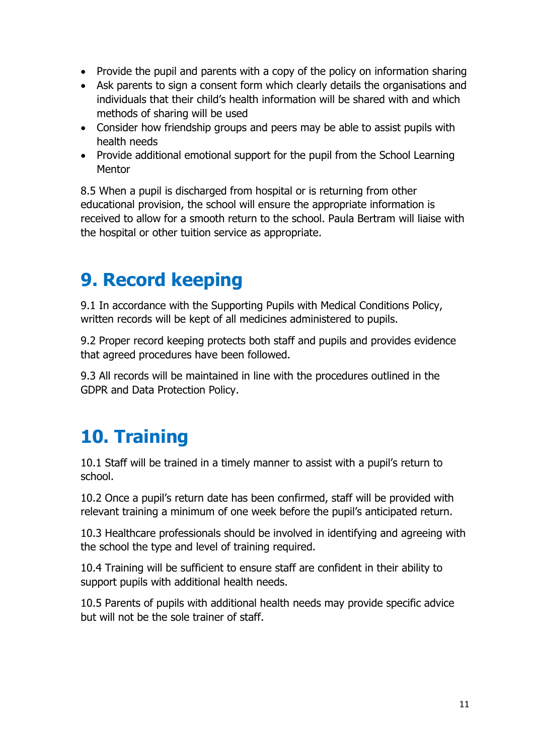- Provide the pupil and parents with a copy of the policy on information sharing
- Ask parents to sign a consent form which clearly details the organisations and individuals that their child's health information will be shared with and which methods of sharing will be used
- Consider how friendship groups and peers may be able to assist pupils with health needs
- Provide additional emotional support for the pupil from the School Learning **Mentor**

8.5 When a pupil is discharged from hospital or is returning from other educational provision, the school will ensure the appropriate information is received to allow for a smooth return to the school. Paula Bertram will liaise with the hospital or other tuition service as appropriate.

### **9. Record keeping**

9.1 In accordance with the Supporting Pupils with Medical Conditions Policy, written records will be kept of all medicines administered to pupils.

9.2 Proper record keeping protects both staff and pupils and provides evidence that agreed procedures have been followed.

9.3 All records will be maintained in line with the procedures outlined in the GDPR and Data Protection Policy.

# **10. Training**

10.1 Staff will be trained in a timely manner to assist with a pupil's return to school.

10.2 Once a pupil's return date has been confirmed, staff will be provided with relevant training a minimum of one week before the pupil's anticipated return.

10.3 Healthcare professionals should be involved in identifying and agreeing with the school the type and level of training required.

10.4 Training will be sufficient to ensure staff are confident in their ability to support pupils with additional health needs.

10.5 Parents of pupils with additional health needs may provide specific advice but will not be the sole trainer of staff.